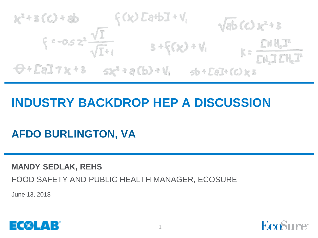$x^2+3(C)+ab$ <br>  $\xi=-0.5z^2 \frac{\sqrt{I}}{\sqrt{I+I}}$ <br>  $3+f(x)+V_1$ <br>  $x=\frac{LNH_1I^2}{LN_2ICH_2I}$ <br>  $\theta+Ed12x+3 = sx^2+a(b)+V_1$ <br>  $ab+Ed12x+3$ 

## **INDUSTRY BACKDROP HEP A DISCUSSION**

**AFDO BURLINGTON, VA**

**MANDY SEDLAK, REHS**

FOOD SAFETY AND PUBLIC HEALTH MANAGER, ECOSURE

June 13, 2018



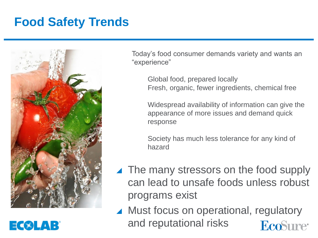## **Food Safety Trends**



EC®LAB

Today's food consumer demands variety and wants an "experience"

Global food, prepared locally Fresh, organic, fewer ingredients, chemical free

Widespread availability of information can give the appearance of more issues and demand quick response

Society has much less tolerance for any kind of hazard

- ▲ The many stressors on the food supply can lead to unsafe foods unless robust programs exist
- ▲ Must focus on operational, regulatory and reputational risks EcoSure<sup>®</sup>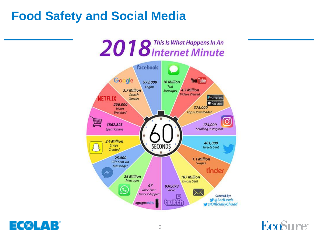## **Food Safety and Social Media**





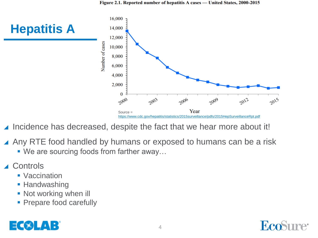

- Incidence has decreased, despite the fact that we hear more about it!
- ▲ Any RTE food handled by humans or exposed to humans can be a risk
	- We are sourcing foods from farther away...
- **Controls** 
	- Vaccination
	- **Handwashing**
	- **Not working when ill**
	- Prepare food carefully